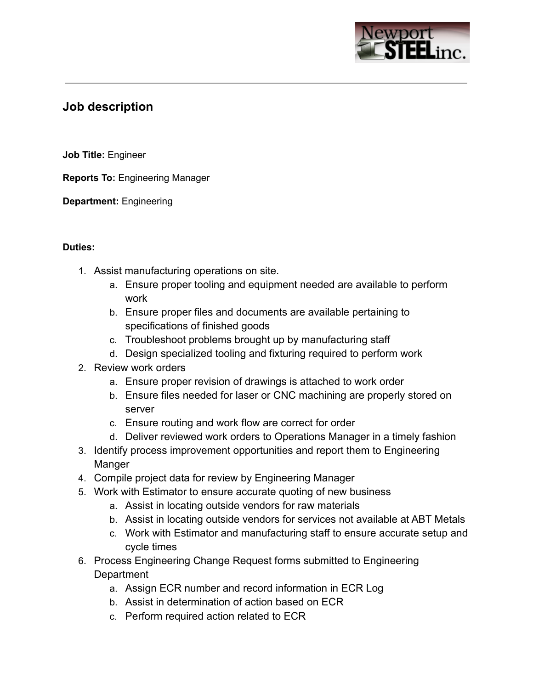

# **Job description**

**Job Title:** Engineer

**Reports To:** Engineering Manager

**Department:** Engineering

### **Duties:**

- 1. Assist manufacturing operations on site.
	- a. Ensure proper tooling and equipment needed are available to perform work
	- b. Ensure proper files and documents are available pertaining to specifications of finished goods
	- c. Troubleshoot problems brought up by manufacturing staff
	- d. Design specialized tooling and fixturing required to perform work
- 2. Review work orders
	- a. Ensure proper revision of drawings is attached to work order
	- b. Ensure files needed for laser or CNC machining are properly stored on server
	- c. Ensure routing and work flow are correct for order
	- d. Deliver reviewed work orders to Operations Manager in a timely fashion
- 3. Identify process improvement opportunities and report them to Engineering Manger
- 4. Compile project data for review by Engineering Manager
- 5. Work with Estimator to ensure accurate quoting of new business
	- a. Assist in locating outside vendors for raw materials
	- b. Assist in locating outside vendors for services not available at ABT Metals
	- c. Work with Estimator and manufacturing staff to ensure accurate setup and cycle times
- 6. Process Engineering Change Request forms submitted to Engineering **Department** 
	- a. Assign ECR number and record information in ECR Log
	- b. Assist in determination of action based on ECR
	- c. Perform required action related to ECR